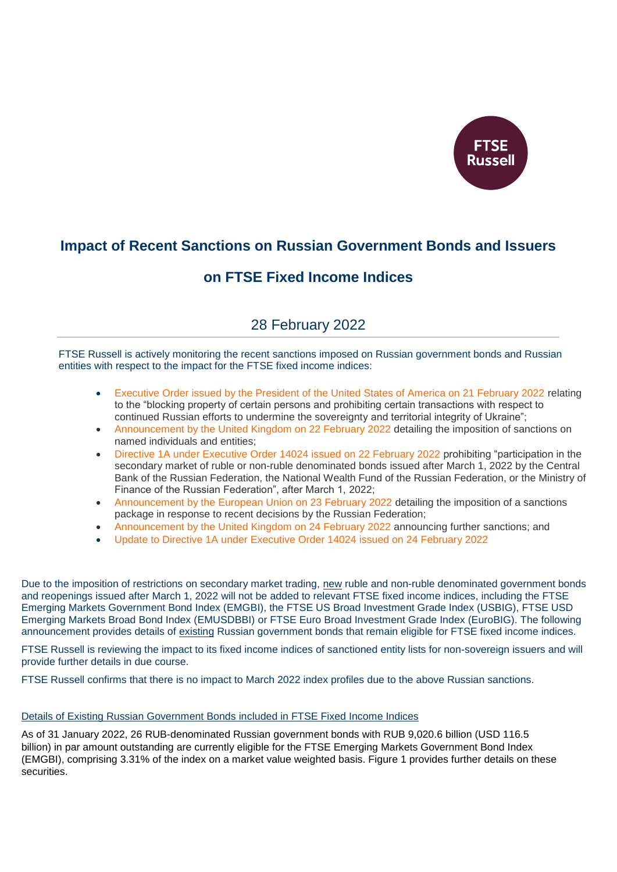

## **Impact of Recent Sanctions on Russian Government Bonds and Issuers**

## **on FTSE Fixed Income Indices**

## 28 February 2022

FTSE Russell is actively monitoring the recent sanctions imposed on Russian government bonds and Russian entities with respect to the impact for the FTSE fixed income indices:

- [Executive Order issued by the President of the United States of America on 21 February 2022](https://home.treasury.gov/system/files/126/20220221_eo_ukraine.pdf) relating to the "blocking property of certain persons and prohibiting certain transactions with respect to continued Russian efforts to undermine the sovereignty and territorial integrity of Ukraine";
- [Announcement by the United Kingdom on 22 February 2022](https://assets.publishing.service.gov.uk/government/uploads/system/uploads/attachment_data/file/1056386/Notice_Russia_22022022.pdf) detailing the imposition of sanctions on named individuals and entities;
- [Directive 1A under Executive Order 14024 issued on 22 February 2022](https://home.treasury.gov/system/files/126/russia_directive_1a.pdf) prohibiting "participation in the secondary market of ruble or non-ruble denominated bonds issued after March 1, 2022 by the Central Bank of the Russian Federation, the National Wealth Fund of the Russian Federation, or the Ministry of Finance of the Russian Federation", after March 1, 2022;
- [Announcement by the European Union on 23 February 2022](https://www.consilium.europa.eu/en/press/press-releases/2022/02/23/russian-recognition-of-the-non-government-controlled-areas-of-the-donetsk-and-luhansk-oblasts-of-ukraine-as-independent-entities-eu-adopts-package-of-sanctions/) detailing the imposition of a sanctions package in response to recent decisions by the Russian Federation;
- [Announcement by the United Kingdom on 24 February 2022](https://assets.publishing.service.gov.uk/government/uploads/system/uploads/attachment_data/file/1057264/Notice_Russia_240222.pdf) announcing further sanctions; and
- [Update to Directive 1A under Executive Order 14024 issued on 24 February 2022](https://home.treasury.gov/system/files/126/new_debt_and_equity_directive_3.pdf)

Due to the imposition of restrictions on secondary market trading, new ruble and non-ruble denominated government bonds and reopenings issued after March 1, 2022 will not be added to relevant FTSE fixed income indices, including the FTSE Emerging Markets Government Bond Index (EMGBI), the FTSE US Broad Investment Grade Index (USBIG), FTSE USD Emerging Markets Broad Bond Index (EMUSDBBI) or FTSE Euro Broad Investment Grade Index (EuroBIG). The following announcement provides details of existing Russian government bonds that remain eligible for FTSE fixed income indices.

FTSE Russell is reviewing the impact to its fixed income indices of sanctioned entity lists for non-sovereign issuers and will provide further details in due course.

FTSE Russell confirms that there is no impact to March 2022 index profiles due to the above Russian sanctions.

## Details of Existing Russian Government Bonds included in FTSE Fixed Income Indices

As of 31 January 2022, 26 RUB-denominated Russian government bonds with RUB 9,020.6 billion (USD 116.5 billion) in par amount outstanding are currently eligible for the FTSE Emerging Markets Government Bond Index (EMGBI), comprising 3.31% of the index on a market value weighted basis. Figure 1 provides further details on these securities.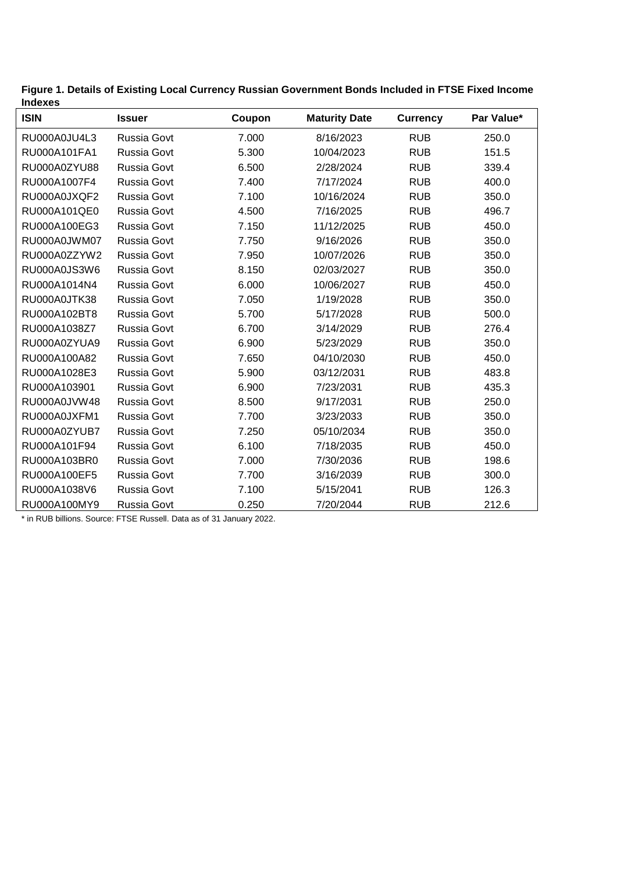| <b>ISIN</b>  | <b>Issuer</b>      | Coupon | <b>Maturity Date</b> | <b>Currency</b> | Par Value* |
|--------------|--------------------|--------|----------------------|-----------------|------------|
| RU000A0JU4L3 | Russia Govt        | 7.000  | 8/16/2023            | <b>RUB</b>      | 250.0      |
| RU000A101FA1 | Russia Govt        | 5.300  | 10/04/2023           | <b>RUB</b>      | 151.5      |
| RU000A0ZYU88 | Russia Govt        | 6.500  | 2/28/2024            | <b>RUB</b>      | 339.4      |
| RU000A1007F4 | Russia Govt        | 7.400  | 7/17/2024            | <b>RUB</b>      | 400.0      |
| RU000A0JXQF2 | Russia Govt        | 7.100  | 10/16/2024           | <b>RUB</b>      | 350.0      |
| RU000A101QE0 | Russia Govt        | 4.500  | 7/16/2025            | <b>RUB</b>      | 496.7      |
| RU000A100EG3 | Russia Govt        | 7.150  | 11/12/2025           | <b>RUB</b>      | 450.0      |
| RU000A0JWM07 | Russia Govt        | 7.750  | 9/16/2026            | <b>RUB</b>      | 350.0      |
| RU000A0ZZYW2 | <b>Russia Govt</b> | 7.950  | 10/07/2026           | <b>RUB</b>      | 350.0      |
| RU000A0JS3W6 | Russia Govt        | 8.150  | 02/03/2027           | <b>RUB</b>      | 350.0      |
| RU000A1014N4 | Russia Govt        | 6.000  | 10/06/2027           | <b>RUB</b>      | 450.0      |
| RU000A0JTK38 | <b>Russia Govt</b> | 7.050  | 1/19/2028            | <b>RUB</b>      | 350.0      |
| RU000A102BT8 | Russia Govt        | 5.700  | 5/17/2028            | <b>RUB</b>      | 500.0      |
| RU000A1038Z7 | Russia Govt        | 6.700  | 3/14/2029            | <b>RUB</b>      | 276.4      |
| RU000A0ZYUA9 | Russia Govt        | 6.900  | 5/23/2029            | <b>RUB</b>      | 350.0      |
| RU000A100A82 | Russia Govt        | 7.650  | 04/10/2030           | <b>RUB</b>      | 450.0      |
| RU000A1028E3 | <b>Russia Govt</b> | 5.900  | 03/12/2031           | <b>RUB</b>      | 483.8      |
| RU000A103901 | Russia Govt        | 6.900  | 7/23/2031            | <b>RUB</b>      | 435.3      |
| RU000A0JVW48 | Russia Govt        | 8.500  | 9/17/2031            | <b>RUB</b>      | 250.0      |
| RU000A0JXFM1 | Russia Govt        | 7.700  | 3/23/2033            | <b>RUB</b>      | 350.0      |
| RU000A0ZYUB7 | Russia Govt        | 7.250  | 05/10/2034           | <b>RUB</b>      | 350.0      |
| RU000A101F94 | Russia Govt        | 6.100  | 7/18/2035            | <b>RUB</b>      | 450.0      |
| RU000A103BR0 | Russia Govt        | 7.000  | 7/30/2036            | <b>RUB</b>      | 198.6      |
| RU000A100EF5 | Russia Govt        | 7.700  | 3/16/2039            | <b>RUB</b>      | 300.0      |
| RU000A1038V6 | Russia Govt        | 7.100  | 5/15/2041            | <b>RUB</b>      | 126.3      |
| RU000A100MY9 | Russia Govt        | 0.250  | 7/20/2044            | <b>RUB</b>      | 212.6      |

**Figure 1. Details of Existing Local Currency Russian Government Bonds Included in FTSE Fixed Income Indexes** 

\* in RUB billions. Source: FTSE Russell. Data as of 31 January 2022.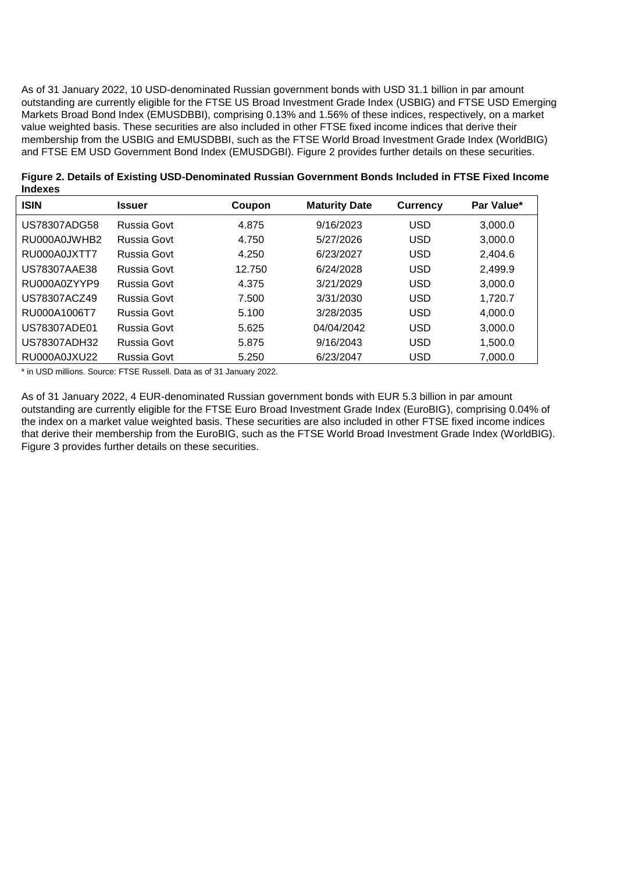As of 31 January 2022, 10 USD-denominated Russian government bonds with USD 31.1 billion in par amount outstanding are currently eligible for the FTSE US Broad Investment Grade Index (USBIG) and FTSE USD Emerging Markets Broad Bond Index (EMUSDBBI), comprising 0.13% and 1.56% of these indices, respectively, on a market value weighted basis. These securities are also included in other FTSE fixed income indices that derive their membership from the USBIG and EMUSDBBI, such as the FTSE World Broad Investment Grade Index (WorldBIG) and FTSE EM USD Government Bond Index (EMUSDGBI). Figure 2 provides further details on these securities.

| <b>ISIN</b>         | <b>Issuer</b> | Coupon | <b>Maturity Date</b> | <b>Currency</b> | Par Value* |
|---------------------|---------------|--------|----------------------|-----------------|------------|
| US78307ADG58        | Russia Govt   | 4.875  | 9/16/2023            | <b>USD</b>      | 3,000.0    |
| RU000A0JWHB2        | Russia Govt   | 4.750  | 5/27/2026            | <b>USD</b>      | 3,000.0    |
| RU000A0JXTT7        | Russia Govt   | 4.250  | 6/23/2027            | <b>USD</b>      | 2,404.6    |
| US78307AAE38        | Russia Govt   | 12.750 | 6/24/2028            | <b>USD</b>      | 2,499.9    |
| RU000A0ZYYP9        | Russia Govt   | 4.375  | 3/21/2029            | <b>USD</b>      | 3,000.0    |
| US78307ACZ49        | Russia Govt   | 7.500  | 3/31/2030            | <b>USD</b>      | 1,720.7    |
| RU000A1006T7        | Russia Govt   | 5.100  | 3/28/2035            | <b>USD</b>      | 4,000.0    |
| <b>US78307ADE01</b> | Russia Govt   | 5.625  | 04/04/2042           | <b>USD</b>      | 3,000.0    |
| US78307ADH32        | Russia Govt   | 5.875  | 9/16/2043            | <b>USD</b>      | 1,500.0    |
| RU000A0JXU22        | Russia Govt   | 5.250  | 6/23/2047            | <b>USD</b>      | 7,000.0    |

**Figure 2. Details of Existing USD-Denominated Russian Government Bonds Included in FTSE Fixed Income Indexes** 

\* in USD millions. Source: FTSE Russell. Data as of 31 January 2022.

As of 31 January 2022, 4 EUR-denominated Russian government bonds with EUR 5.3 billion in par amount outstanding are currently eligible for the FTSE Euro Broad Investment Grade Index (EuroBIG), comprising 0.04% of the index on a market value weighted basis. These securities are also included in other FTSE fixed income indices that derive their membership from the EuroBIG, such as the FTSE World Broad Investment Grade Index (WorldBIG). Figure 3 provides further details on these securities.